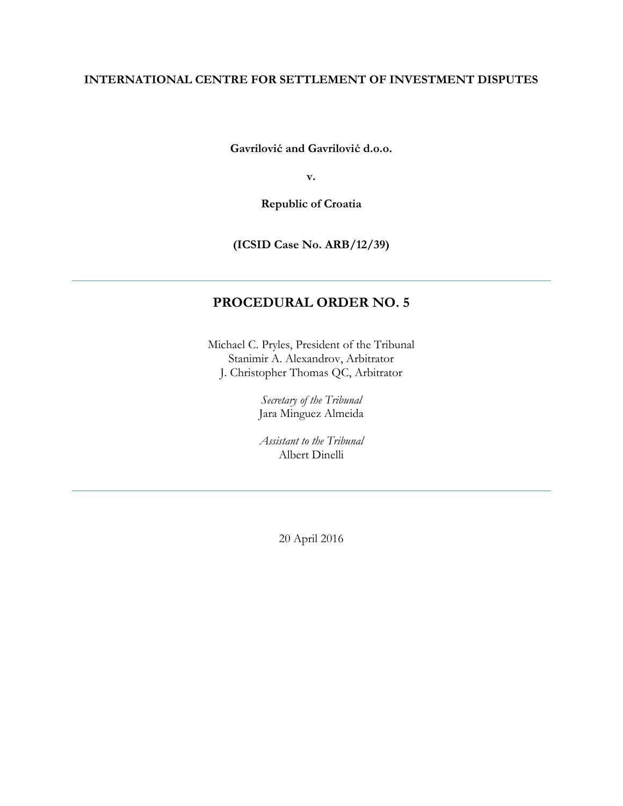## **INTERNATIONAL CENTRE FOR SETTLEMENT OF INVESTMENT DISPUTES**

**Gavrilović and Gavrilović d.o.o.** 

**v.** 

**Republic of Croatia**

**(ICSID Case No. ARB/12/39)**

# **PROCEDURAL ORDER NO. 5**

Michael C. Pryles, President of the Tribunal Stanimir A. Alexandrov, Arbitrator J. Christopher Thomas QC, Arbitrator

> *Secretary of the Tribunal* Jara Minguez Almeida

*Assistant to the Tribunal* Albert Dinelli

20 April 2016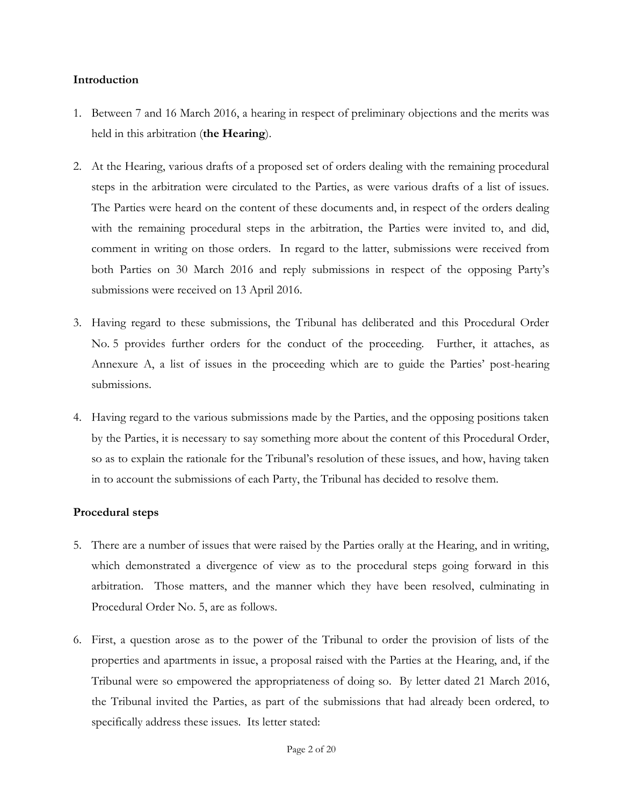### **Introduction**

- 1. Between 7 and 16 March 2016, a hearing in respect of preliminary objections and the merits was held in this arbitration (**the Hearing**).
- 2. At the Hearing, various drafts of a proposed set of orders dealing with the remaining procedural steps in the arbitration were circulated to the Parties, as were various drafts of a list of issues. The Parties were heard on the content of these documents and, in respect of the orders dealing with the remaining procedural steps in the arbitration, the Parties were invited to, and did, comment in writing on those orders. In regard to the latter, submissions were received from both Parties on 30 March 2016 and reply submissions in respect of the opposing Party's submissions were received on 13 April 2016.
- 3. Having regard to these submissions, the Tribunal has deliberated and this Procedural Order No. 5 provides further orders for the conduct of the proceeding. Further, it attaches, as Annexure A, a list of issues in the proceeding which are to guide the Parties' post-hearing submissions.
- 4. Having regard to the various submissions made by the Parties, and the opposing positions taken by the Parties, it is necessary to say something more about the content of this Procedural Order, so as to explain the rationale for the Tribunal's resolution of these issues, and how, having taken in to account the submissions of each Party, the Tribunal has decided to resolve them.

## **Procedural steps**

- 5. There are a number of issues that were raised by the Parties orally at the Hearing, and in writing, which demonstrated a divergence of view as to the procedural steps going forward in this arbitration. Those matters, and the manner which they have been resolved, culminating in Procedural Order No. 5, are as follows.
- 6. First, a question arose as to the power of the Tribunal to order the provision of lists of the properties and apartments in issue, a proposal raised with the Parties at the Hearing, and, if the Tribunal were so empowered the appropriateness of doing so. By letter dated 21 March 2016, the Tribunal invited the Parties, as part of the submissions that had already been ordered, to specifically address these issues. Its letter stated: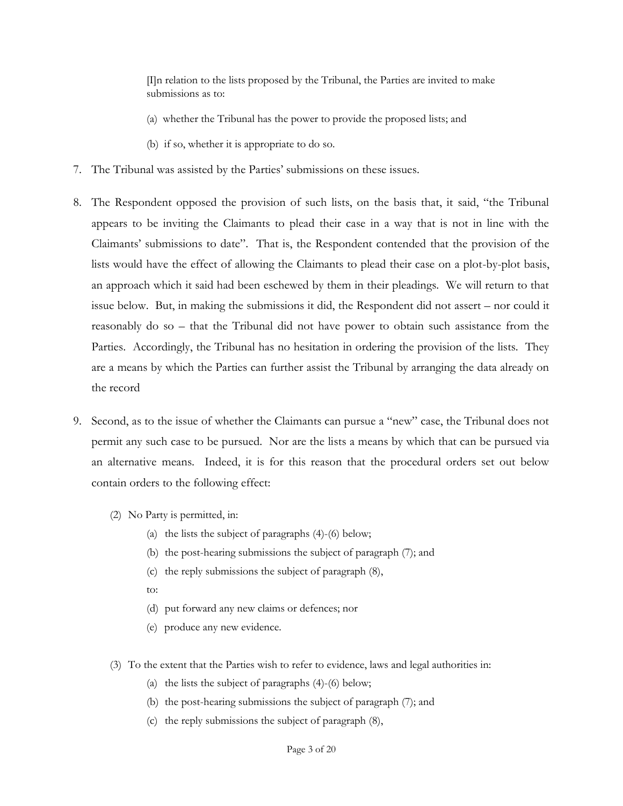[I]n relation to the lists proposed by the Tribunal, the Parties are invited to make submissions as to:

- (a) whether the Tribunal has the power to provide the proposed lists; and
- (b) if so, whether it is appropriate to do so.
- 7. The Tribunal was assisted by the Parties' submissions on these issues.
- 8. The Respondent opposed the provision of such lists, on the basis that, it said, "the Tribunal appears to be inviting the Claimants to plead their case in a way that is not in line with the Claimants' submissions to date". That is, the Respondent contended that the provision of the lists would have the effect of allowing the Claimants to plead their case on a plot-by-plot basis, an approach which it said had been eschewed by them in their pleadings. We will return to that issue below. But, in making the submissions it did, the Respondent did not assert – nor could it reasonably do so – that the Tribunal did not have power to obtain such assistance from the Parties. Accordingly, the Tribunal has no hesitation in ordering the provision of the lists. They are a means by which the Parties can further assist the Tribunal by arranging the data already on the record
- <span id="page-2-0"></span>9. Second, as to the issue of whether the Claimants can pursue a "new" case, the Tribunal does not permit any such case to be pursued. Nor are the lists a means by which that can be pursued via an alternative means. Indeed, it is for this reason that the procedural orders set out below contain orders to the following effect:
	- (2) No Party is permitted, in:
		- (a) the lists the subject of paragraphs [\(4\)](#page-7-0)[-\(6\)](#page-9-0) below;
		- (b) the post-hearing submissions the subject of paragrap[h \(7\);](#page-9-1) and
		- (c) the reply submissions the subject of paragraph [\(8\),](#page-10-0)
		- to:
		- (d) put forward any new claims or defences; nor
		- (e) produce any new evidence.
	- (3) To the extent that the Parties wish to refer to evidence, laws and legal authorities in:
		- (a) the lists the subject of paragraphs [\(4\)](#page-7-0)[-\(6\)](#page-9-0) below;
		- (b) the post-hearing submissions the subject of paragrap[h \(7\);](#page-9-1) and
		- (c) the reply submissions the subject of paragraph [\(8\),](#page-10-0)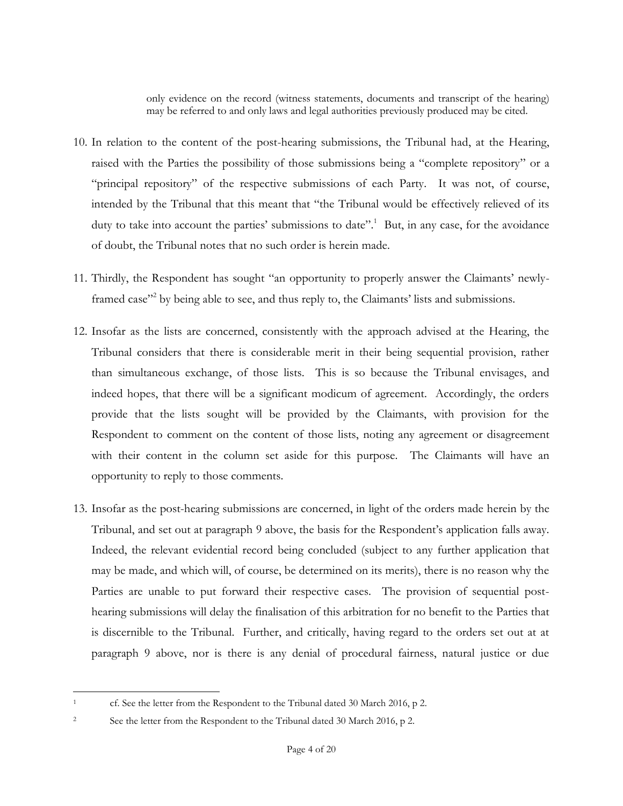only evidence on the record (witness statements, documents and transcript of the hearing) may be referred to and only laws and legal authorities previously produced may be cited.

- 10. In relation to the content of the post-hearing submissions, the Tribunal had, at the Hearing, raised with the Parties the possibility of those submissions being a "complete repository" or a "principal repository" of the respective submissions of each Party. It was not, of course, intended by the Tribunal that this meant that "the Tribunal would be effectively relieved of its duty to take into account the parties' submissions to date".<sup>1</sup> But, in any case, for the avoidance of doubt, the Tribunal notes that no such order is herein made.
- 11. Thirdly, the Respondent has sought "an opportunity to properly answer the Claimants' newlyframed case<sup>32</sup> by being able to see, and thus reply to, the Claimants' lists and submissions.
- 12. Insofar as the lists are concerned, consistently with the approach advised at the Hearing, the Tribunal considers that there is considerable merit in their being sequential provision, rather than simultaneous exchange, of those lists. This is so because the Tribunal envisages, and indeed hopes, that there will be a significant modicum of agreement. Accordingly, the orders provide that the lists sought will be provided by the Claimants, with provision for the Respondent to comment on the content of those lists, noting any agreement or disagreement with their content in the column set aside for this purpose. The Claimants will have an opportunity to reply to those comments.
- 13. Insofar as the post-hearing submissions are concerned, in light of the orders made herein by the Tribunal, and set out at paragraph [9](#page-2-0) above, the basis for the Respondent's application falls away. Indeed, the relevant evidential record being concluded (subject to any further application that may be made, and which will, of course, be determined on its merits), there is no reason why the Parties are unable to put forward their respective cases. The provision of sequential posthearing submissions will delay the finalisation of this arbitration for no benefit to the Parties that is discernible to the Tribunal. Further, and critically, having regard to the orders set out at at paragraph [9](#page-2-0) above, nor is there is any denial of procedural fairness, natural justice or due

 $\overline{a}$ 

<sup>&</sup>lt;sup>1</sup> cf. See the letter from the Respondent to the Tribunal dated 30 March 2016, p 2.

<sup>&</sup>lt;sup>2</sup> See the letter from the Respondent to the Tribunal dated 30 March 2016, p 2.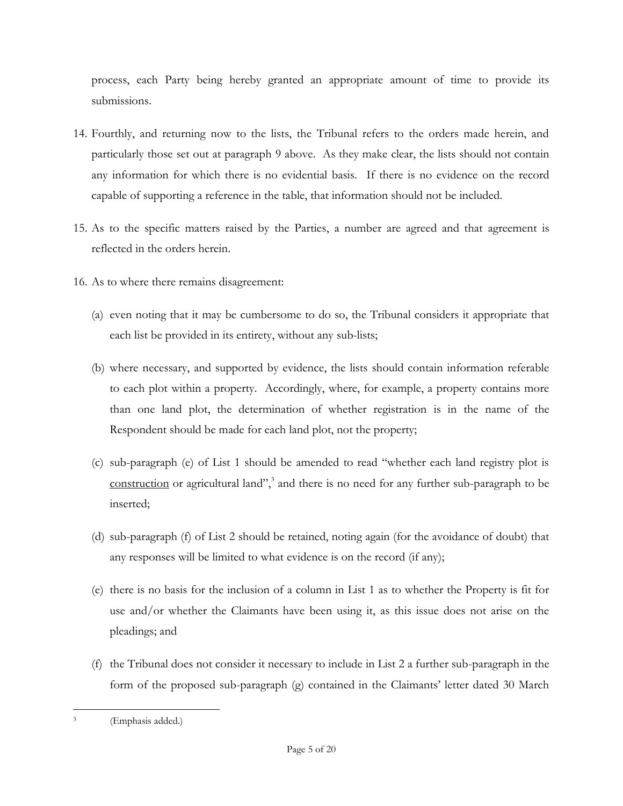process, each Party being hereby granted an appropriate amount of time to provide its submissions.

- 14. Fourthly, and returning now to the lists, the Tribunal refers to the orders made herein, and particularly those set out at paragraph [9](#page-2-0) above. As they make clear, the lists should not contain any information for which there is no evidential basis. If there is no evidence on the record capable of supporting a reference in the table, that information should not be included.
- 15. As to the specific matters raised by the Parties, a number are agreed and that agreement is reflected in the orders herein.
- 16. As to where there remains disagreement:
	- (a) even noting that it may be cumbersome to do so, the Tribunal considers it appropriate that each list be provided in its entirety, without any sub-lists;
	- (b) where necessary, and supported by evidence, the lists should contain information referable to each plot within a property. Accordingly, where, for example, a property contains more than one land plot, the determination of whether registration is in the name of the Respondent should be made for each land plot, not the property;
	- (c) sub-paragraph (e) of List 1 should be amended to read "whether each land registry plot is construction or agricultural land",<sup>3</sup> and there is no need for any further sub-paragraph to be inserted;
	- (d) sub-paragraph (f) of List 2 should be retained, noting again (for the avoidance of doubt) that any responses will be limited to what evidence is on the record (if any);
	- (e) there is no basis for the inclusion of a column in List 1 as to whether the Property is fit for use and/or whether the Claimants have been using it, as this issue does not arise on the pleadings; and
	- (f) the Tribunal does not consider it necessary to include in List 2 a further sub-paragraph in the form of the proposed sub-paragraph (g) contained in the Claimants' letter dated 30 March

 $\overline{a}$ 3 (Emphasis added.)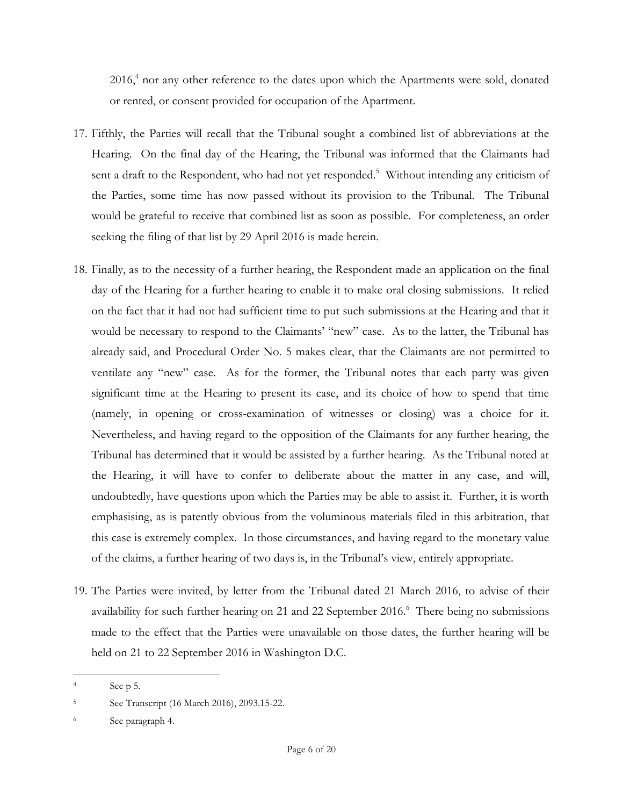2016,<sup>4</sup> nor any other reference to the dates upon which the Apartments were sold, donated or rented, or consent provided for occupation of the Apartment.

- 17. Fifthly, the Parties will recall that the Tribunal sought a combined list of abbreviations at the Hearing. On the final day of the Hearing, the Tribunal was informed that the Claimants had sent a draft to the Respondent, who had not yet responded.<sup>5</sup> Without intending any criticism of the Parties, some time has now passed without its provision to the Tribunal. The Tribunal would be grateful to receive that combined list as soon as possible. For completeness, an order seeking the filing of that list by 29 April 2016 is made herein.
- 18. Finally, as to the necessity of a further hearing, the Respondent made an application on the final day of the Hearing for a further hearing to enable it to make oral closing submissions. It relied on the fact that it had not had sufficient time to put such submissions at the Hearing and that it would be necessary to respond to the Claimants' "new" case. As to the latter, the Tribunal has already said, and Procedural Order No. 5 makes clear, that the Claimants are not permitted to ventilate any "new" case. As for the former, the Tribunal notes that each party was given significant time at the Hearing to present its case, and its choice of how to spend that time (namely, in opening or cross-examination of witnesses or closing) was a choice for it. Nevertheless, and having regard to the opposition of the Claimants for any further hearing, the Tribunal has determined that it would be assisted by a further hearing. As the Tribunal noted at the Hearing, it will have to confer to deliberate about the matter in any case, and will, undoubtedly, have questions upon which the Parties may be able to assist it. Further, it is worth emphasising, as is patently obvious from the voluminous materials filed in this arbitration, that this case is extremely complex. In those circumstances, and having regard to the monetary value of the claims, a further hearing of two days is, in the Tribunal's view, entirely appropriate.
- 19. The Parties were invited, by letter from the Tribunal dated 21 March 2016, to advise of their availability for such further hearing on 21 and 22 September  $2016$ .<sup>6</sup> There being no submissions made to the effect that the Parties were unavailable on those dates, the further hearing will be held on 21 to 22 September 2016 in Washington D.C.

 $\overline{a}$ 

 $4 \qquad \qquad$  See p 5.

<sup>5</sup> See Transcript (16 March 2016), 2093.15-22.

<sup>6</sup> See paragraph 4.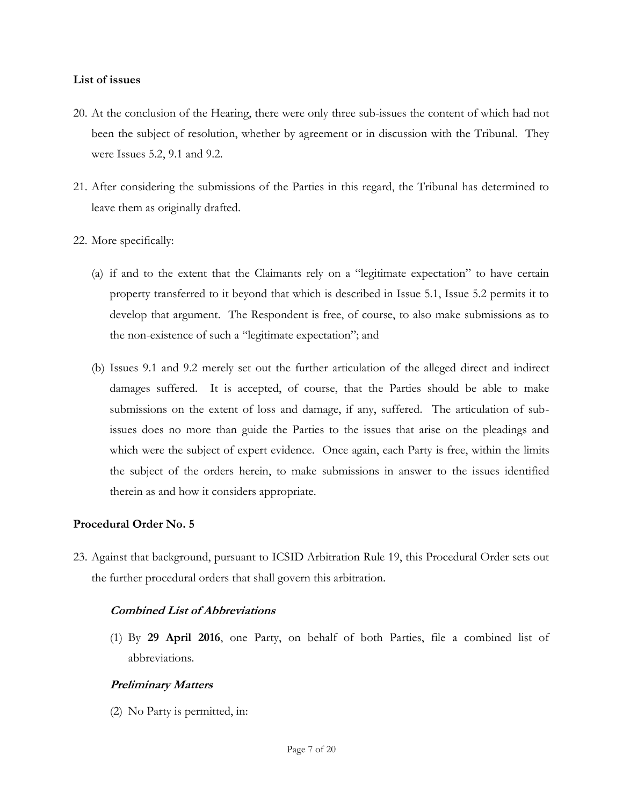#### **List of issues**

- 20. At the conclusion of the Hearing, there were only three sub-issues the content of which had not been the subject of resolution, whether by agreement or in discussion with the Tribunal. They were Issues 5.2, 9.1 and 9.2.
- 21. After considering the submissions of the Parties in this regard, the Tribunal has determined to leave them as originally drafted.
- 22. More specifically:
	- (a) if and to the extent that the Claimants rely on a "legitimate expectation" to have certain property transferred to it beyond that which is described in Issue 5.1, Issue 5.2 permits it to develop that argument. The Respondent is free, of course, to also make submissions as to the non-existence of such a "legitimate expectation"; and
	- (b) Issues 9.1 and 9.2 merely set out the further articulation of the alleged direct and indirect damages suffered. It is accepted, of course, that the Parties should be able to make submissions on the extent of loss and damage, if any, suffered. The articulation of subissues does no more than guide the Parties to the issues that arise on the pleadings and which were the subject of expert evidence. Once again, each Party is free, within the limits the subject of the orders herein, to make submissions in answer to the issues identified therein as and how it considers appropriate.

## **Procedural Order No. 5**

23. Against that background, pursuant to ICSID Arbitration Rule 19, this Procedural Order sets out the further procedural orders that shall govern this arbitration.

## **Combined List of Abbreviations**

(1) By **29 April 2016**, one Party, on behalf of both Parties, file a combined list of abbreviations.

## **Preliminary Matters**

(2) No Party is permitted, in: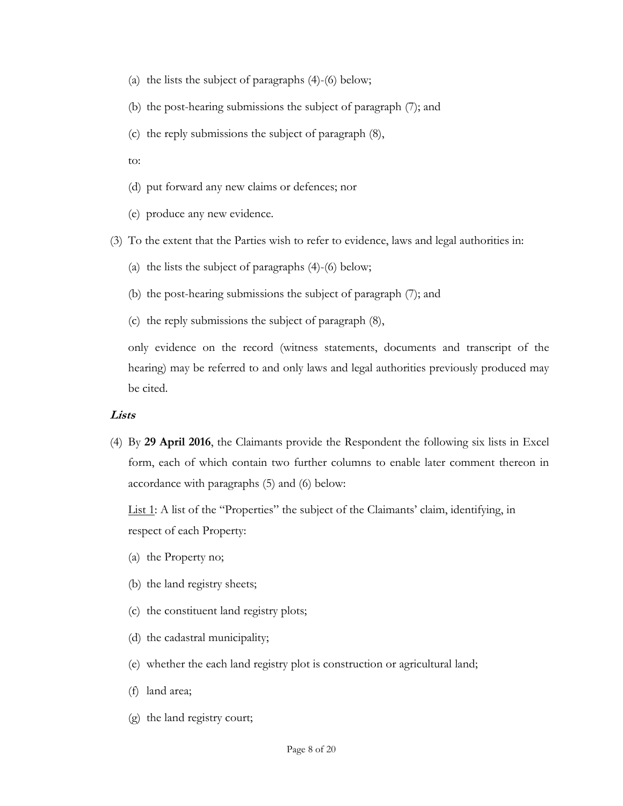- (a) the lists the subject of paragraphs [\(4\)](#page-7-0)[-\(6\)](#page-9-0) below;
- (b) the post-hearing submissions the subject of paragraph [\(7\);](#page-9-1) and
- (c) the reply submissions the subject of paragraph [\(8\),](#page-10-0)
- to:
- (d) put forward any new claims or defences; nor
- (e) produce any new evidence.

(3) To the extent that the Parties wish to refer to evidence, laws and legal authorities in:

- (a) the lists the subject of paragraphs [\(4\)](#page-7-0)[-\(6\)](#page-9-0) below;
- (b) the post-hearing submissions the subject of paragraph [\(7\);](#page-9-1) and
- (c) the reply submissions the subject of paragraph [\(8\),](#page-10-0)

only evidence on the record (witness statements, documents and transcript of the hearing) may be referred to and only laws and legal authorities previously produced may be cited.

#### **Lists**

<span id="page-7-0"></span>(4) By **29 April 2016**, the Claimants provide the Respondent the following six lists in Excel form, each of which contain two further columns to enable later comment thereon in accordance with paragraphs [\(5\)](#page-9-2) and [\(6\)](#page-9-0) below:

List 1: A list of the "Properties" the subject of the Claimants' claim, identifying, in respect of each Property:

- (a) the Property no;
- (b) the land registry sheets;
- (c) the constituent land registry plots;
- (d) the cadastral municipality;
- (e) whether the each land registry plot is construction or agricultural land;
- (f) land area;
- (g) the land registry court;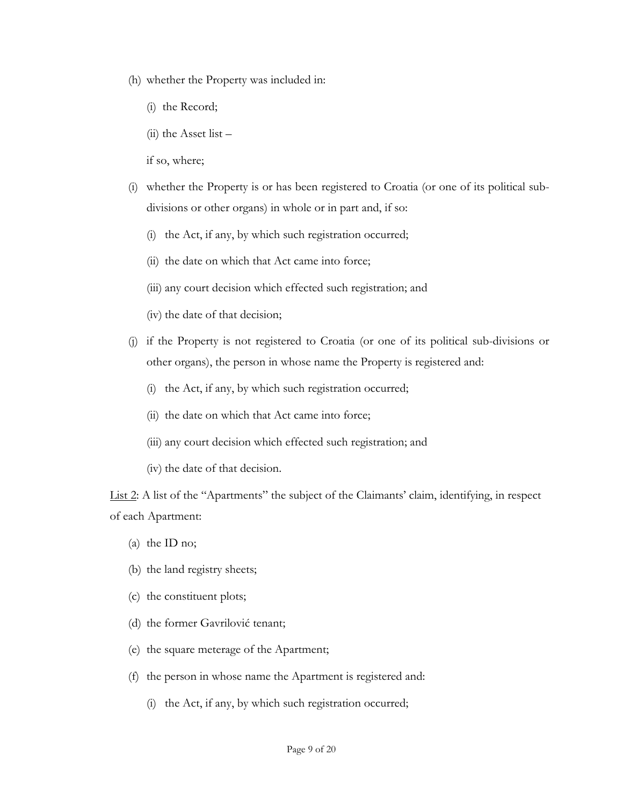- (h) whether the Property was included in:
	- (i) the Record;
	- $(ii)$  the Asset list –
	- if so, where;
- (i) whether the Property is or has been registered to Croatia (or one of its political subdivisions or other organs) in whole or in part and, if so:
	- (i) the Act, if any, by which such registration occurred;
	- (ii) the date on which that Act came into force;
	- (iii) any court decision which effected such registration; and
	- (iv) the date of that decision;
- (j) if the Property is not registered to Croatia (or one of its political sub-divisions or other organs), the person in whose name the Property is registered and:
	- (i) the Act, if any, by which such registration occurred;
	- (ii) the date on which that Act came into force;
	- (iii) any court decision which effected such registration; and
	- (iv) the date of that decision.

List 2: A list of the "Apartments" the subject of the Claimants' claim, identifying, in respect of each Apartment:

- (a) the ID no;
- (b) the land registry sheets;
- (c) the constituent plots;
- (d) the former Gavrilović tenant;
- (e) the square meterage of the Apartment;
- (f) the person in whose name the Apartment is registered and:
	- (i) the Act, if any, by which such registration occurred;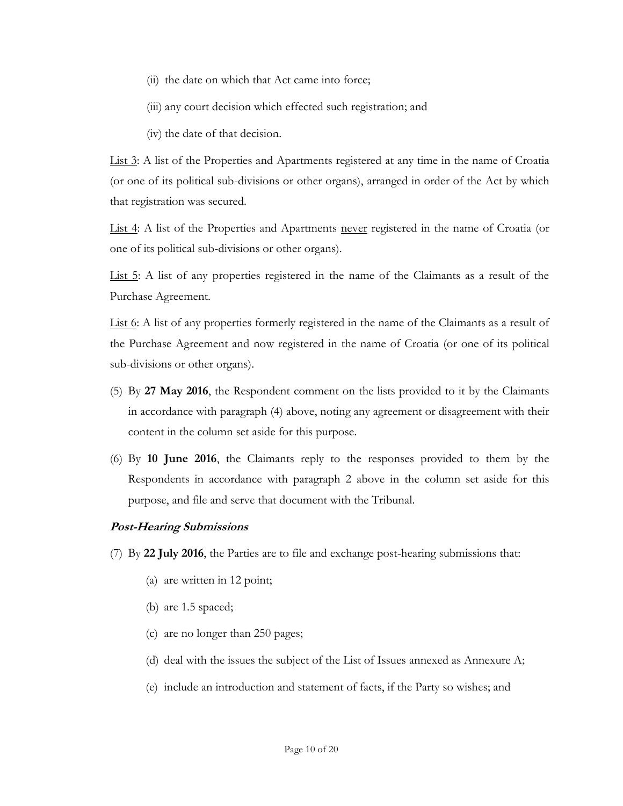- (ii) the date on which that Act came into force;
- (iii) any court decision which effected such registration; and
- (iv) the date of that decision.

List 3: A list of the Properties and Apartments registered at any time in the name of Croatia (or one of its political sub-divisions or other organs), arranged in order of the Act by which that registration was secured.

List 4: A list of the Properties and Apartments never registered in the name of Croatia (or one of its political sub-divisions or other organs).

List 5: A list of any properties registered in the name of the Claimants as a result of the Purchase Agreement.

List 6: A list of any properties formerly registered in the name of the Claimants as a result of the Purchase Agreement and now registered in the name of Croatia (or one of its political sub-divisions or other organs).

- <span id="page-9-2"></span>(5) By **27 May 2016**, the Respondent comment on the lists provided to it by the Claimants in accordance with paragraph [\(4\)](#page-7-0) above, noting any agreement or disagreement with their content in the column set aside for this purpose.
- <span id="page-9-0"></span>(6) By **10 June 2016**, the Claimants reply to the responses provided to them by the Respondents in accordance with paragraph 2 above in the column set aside for this purpose, and file and serve that document with the Tribunal.

## **Post-Hearing Submissions**

- <span id="page-9-1"></span>(7) By **22 July 2016**, the Parties are to file and exchange post-hearing submissions that:
	- (a) are written in 12 point;
	- (b) are 1.5 spaced;
	- (c) are no longer than 250 pages;
	- (d) deal with the issues the subject of the List of Issues annexed as Annexure A;
	- (e) include an introduction and statement of facts, if the Party so wishes; and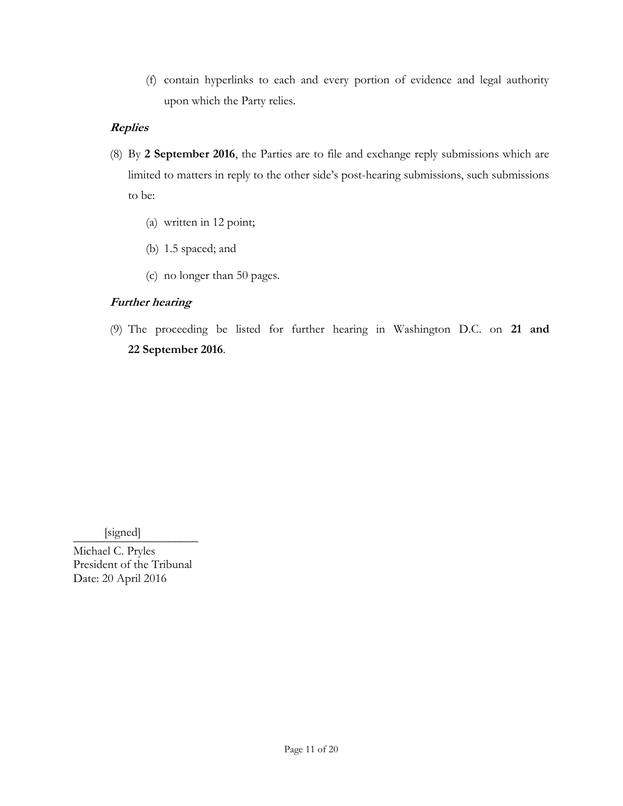(f) contain hyperlinks to each and every portion of evidence and legal authority upon which the Party relies.

# **Replies**

- <span id="page-10-0"></span>(8) By **2 September 2016**, the Parties are to file and exchange reply submissions which are limited to matters in reply to the other side's post-hearing submissions, such submissions to be:
	- (a) written in 12 point;
	- (b) 1.5 spaced; and
	- (c) no longer than 50 pages.

# **Further hearing**

(9) The proceeding be listed for further hearing in Washington D.C. on **21 and 22 September 2016**.

 $[signed] \qquad \qquad \blacksquare$ 

Michael C. Pryles President of the Tribunal Date: 20 April 2016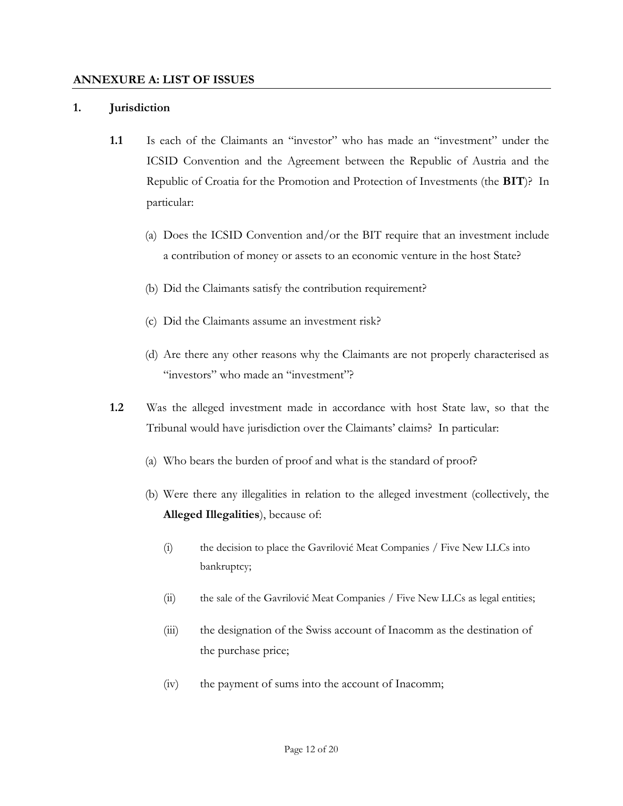#### **ANNEXURE A: LIST OF ISSUES**

#### **1. Jurisdiction**

- **1.1** Is each of the Claimants an "investor" who has made an "investment" under the ICSID Convention and the Agreement between the Republic of Austria and the Republic of Croatia for the Promotion and Protection of Investments (the **BIT**)? In particular:
	- (a) Does the ICSID Convention and/or the BIT require that an investment include a contribution of money or assets to an economic venture in the host State?
	- (b) Did the Claimants satisfy the contribution requirement?
	- (c) Did the Claimants assume an investment risk?
	- (d) Are there any other reasons why the Claimants are not properly characterised as "investors" who made an "investment"?
- **1.2** Was the alleged investment made in accordance with host State law, so that the Tribunal would have jurisdiction over the Claimants' claims? In particular:
	- (a) Who bears the burden of proof and what is the standard of proof?
	- (b) Were there any illegalities in relation to the alleged investment (collectively, the **Alleged Illegalities**), because of:
		- (i) the decision to place the Gavrilović Meat Companies / Five New LLCs into bankruptcy;
		- (ii) the sale of the Gavrilović Meat Companies / Five New LLCs as legal entities;
		- (iii) the designation of the Swiss account of Inacomm as the destination of the purchase price;
		- (iv) the payment of sums into the account of Inacomm;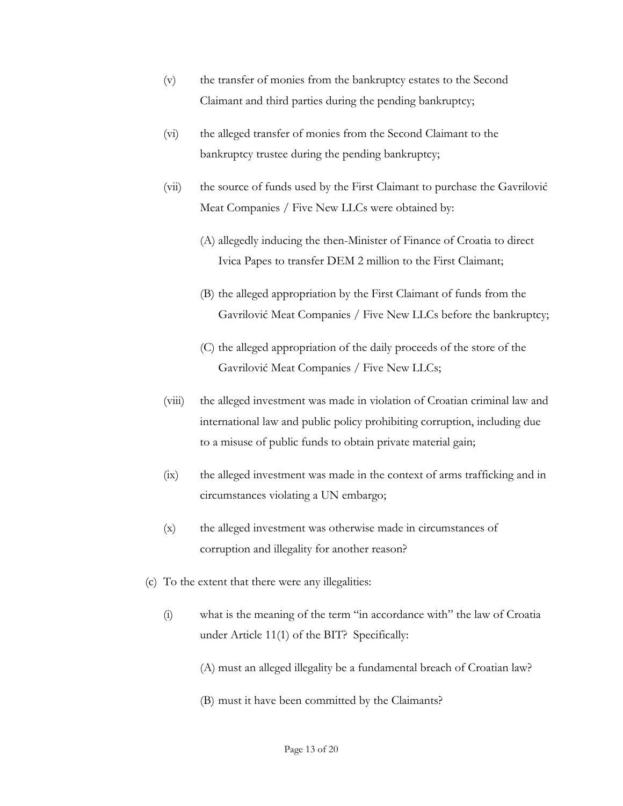- (v) the transfer of monies from the bankruptcy estates to the Second Claimant and third parties during the pending bankruptcy;
- (vi) the alleged transfer of monies from the Second Claimant to the bankruptcy trustee during the pending bankruptcy;
- (vii) the source of funds used by the First Claimant to purchase the Gavrilović Meat Companies / Five New LLCs were obtained by:
	- (A) allegedly inducing the then-Minister of Finance of Croatia to direct Ivica Papes to transfer DEM 2 million to the First Claimant;
	- (B) the alleged appropriation by the First Claimant of funds from the Gavrilović Meat Companies / Five New LLCs before the bankruptcy;
	- (C) the alleged appropriation of the daily proceeds of the store of the Gavrilović Meat Companies / Five New LLCs;
- (viii) the alleged investment was made in violation of Croatian criminal law and international law and public policy prohibiting corruption, including due to a misuse of public funds to obtain private material gain;
- (ix) the alleged investment was made in the context of arms trafficking and in circumstances violating a UN embargo;
- (x) the alleged investment was otherwise made in circumstances of corruption and illegality for another reason?
- (c) To the extent that there were any illegalities:
	- (i) what is the meaning of the term "in accordance with" the law of Croatia under Article 11(1) of the BIT? Specifically:
		- (A) must an alleged illegality be a fundamental breach of Croatian law?
		- (B) must it have been committed by the Claimants?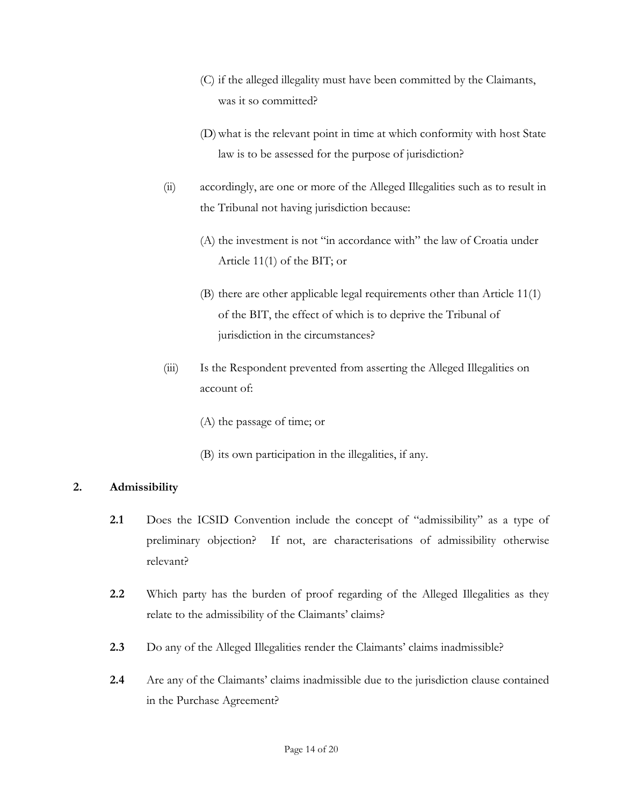- (C) if the alleged illegality must have been committed by the Claimants, was it so committed?
- (D)what is the relevant point in time at which conformity with host State law is to be assessed for the purpose of jurisdiction?
- (ii) accordingly, are one or more of the Alleged Illegalities such as to result in the Tribunal not having jurisdiction because:
	- (A) the investment is not "in accordance with" the law of Croatia under Article 11(1) of the BIT; or
	- (B) there are other applicable legal requirements other than Article 11(1) of the BIT, the effect of which is to deprive the Tribunal of jurisdiction in the circumstances?
- (iii) Is the Respondent prevented from asserting the Alleged Illegalities on account of:
	- (A) the passage of time; or
	- (B) its own participation in the illegalities, if any.

## **2. Admissibility**

- **2.1** Does the ICSID Convention include the concept of "admissibility" as a type of preliminary objection? If not, are characterisations of admissibility otherwise relevant?
- **2.2** Which party has the burden of proof regarding of the Alleged Illegalities as they relate to the admissibility of the Claimants' claims?
- **2.3** Do any of the Alleged Illegalities render the Claimants' claims inadmissible?
- **2.4** Are any of the Claimants' claims inadmissible due to the jurisdiction clause contained in the Purchase Agreement?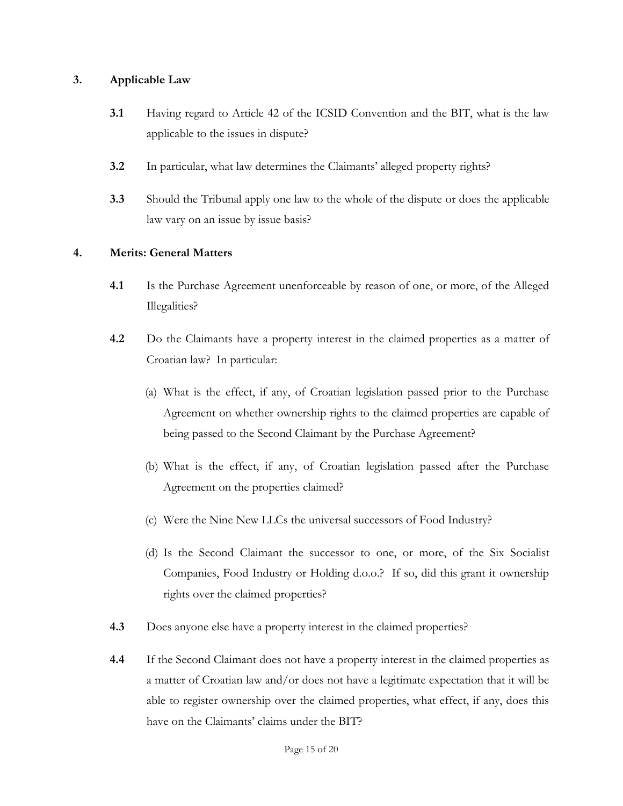## **3. Applicable Law**

- **3.1** Having regard to Article 42 of the ICSID Convention and the BIT, what is the law applicable to the issues in dispute?
- **3.2** In particular, what law determines the Claimants' alleged property rights?
- **3.3** Should the Tribunal apply one law to the whole of the dispute or does the applicable law vary on an issue by issue basis?

## **4. Merits: General Matters**

- **4.1** Is the Purchase Agreement unenforceable by reason of one, or more, of the Alleged Illegalities?
- **4.2** Do the Claimants have a property interest in the claimed properties as a matter of Croatian law? In particular:
	- (a) What is the effect, if any, of Croatian legislation passed prior to the Purchase Agreement on whether ownership rights to the claimed properties are capable of being passed to the Second Claimant by the Purchase Agreement?
	- (b) What is the effect, if any, of Croatian legislation passed after the Purchase Agreement on the properties claimed?
	- (c) Were the Nine New LLCs the universal successors of Food Industry?
	- (d) Is the Second Claimant the successor to one, or more, of the Six Socialist Companies, Food Industry or Holding d.o.o.? If so, did this grant it ownership rights over the claimed properties?
- **4.3** Does anyone else have a property interest in the claimed properties?
- **4.4** If the Second Claimant does not have a property interest in the claimed properties as a matter of Croatian law and/or does not have a legitimate expectation that it will be able to register ownership over the claimed properties, what effect, if any, does this have on the Claimants' claims under the BIT?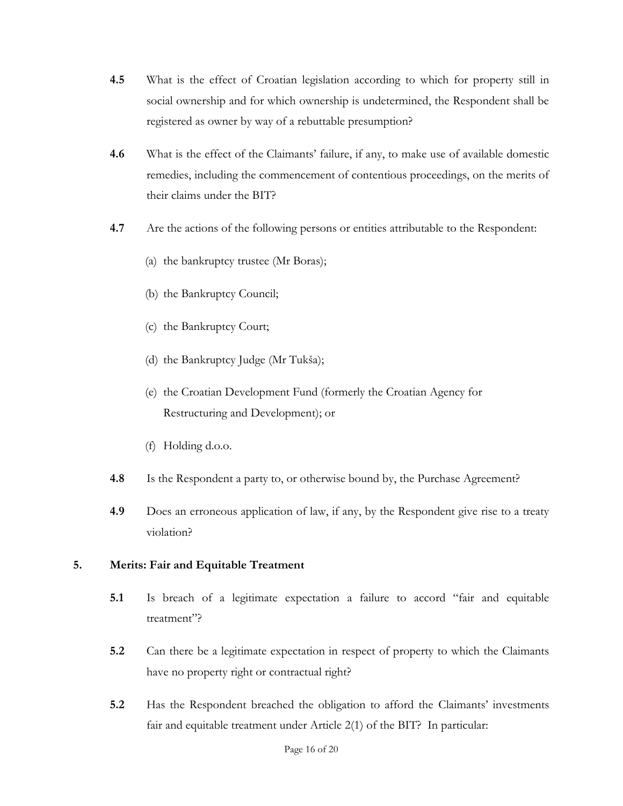- **4.5** What is the effect of Croatian legislation according to which for property still in social ownership and for which ownership is undetermined, the Respondent shall be registered as owner by way of a rebuttable presumption?
- **4.6** What is the effect of the Claimants' failure, if any, to make use of available domestic remedies, including the commencement of contentious proceedings, on the merits of their claims under the BIT?
- **4.7** Are the actions of the following persons or entities attributable to the Respondent:
	- (a) the bankruptcy trustee (Mr Boras);
	- (b) the Bankruptcy Council;
	- (c) the Bankruptcy Court;
	- (d) the Bankruptcy Judge (Mr Tukša);
	- (e) the Croatian Development Fund (formerly the Croatian Agency for Restructuring and Development); or
	- (f) Holding d.o.o.
- **4.8** Is the Respondent a party to, or otherwise bound by, the Purchase Agreement?
- **4.9** Does an erroneous application of law, if any, by the Respondent give rise to a treaty violation?

## **5. Merits: Fair and Equitable Treatment**

- **5.1** Is breach of a legitimate expectation a failure to accord "fair and equitable treatment"?
- **5.2** Can there be a legitimate expectation in respect of property to which the Claimants have no property right or contractual right?
- **5.2** Has the Respondent breached the obligation to afford the Claimants' investments fair and equitable treatment under Article 2(1) of the BIT? In particular: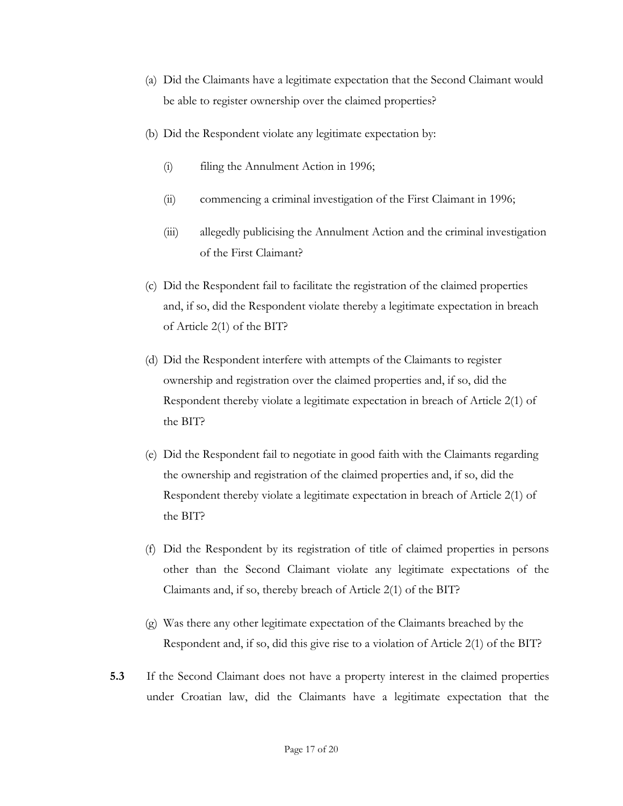- (a) Did the Claimants have a legitimate expectation that the Second Claimant would be able to register ownership over the claimed properties?
- (b) Did the Respondent violate any legitimate expectation by:
	- (i) filing the Annulment Action in 1996;
	- (ii) commencing a criminal investigation of the First Claimant in 1996;
	- (iii) allegedly publicising the Annulment Action and the criminal investigation of the First Claimant?
- (c) Did the Respondent fail to facilitate the registration of the claimed properties and, if so, did the Respondent violate thereby a legitimate expectation in breach of Article 2(1) of the BIT?
- (d) Did the Respondent interfere with attempts of the Claimants to register ownership and registration over the claimed properties and, if so, did the Respondent thereby violate a legitimate expectation in breach of Article 2(1) of the BIT?
- (e) Did the Respondent fail to negotiate in good faith with the Claimants regarding the ownership and registration of the claimed properties and, if so, did the Respondent thereby violate a legitimate expectation in breach of Article 2(1) of the BIT?
- (f) Did the Respondent by its registration of title of claimed properties in persons other than the Second Claimant violate any legitimate expectations of the Claimants and, if so, thereby breach of Article 2(1) of the BIT?
- (g) Was there any other legitimate expectation of the Claimants breached by the Respondent and, if so, did this give rise to a violation of Article 2(1) of the BIT?
- **5.3** If the Second Claimant does not have a property interest in the claimed properties under Croatian law, did the Claimants have a legitimate expectation that the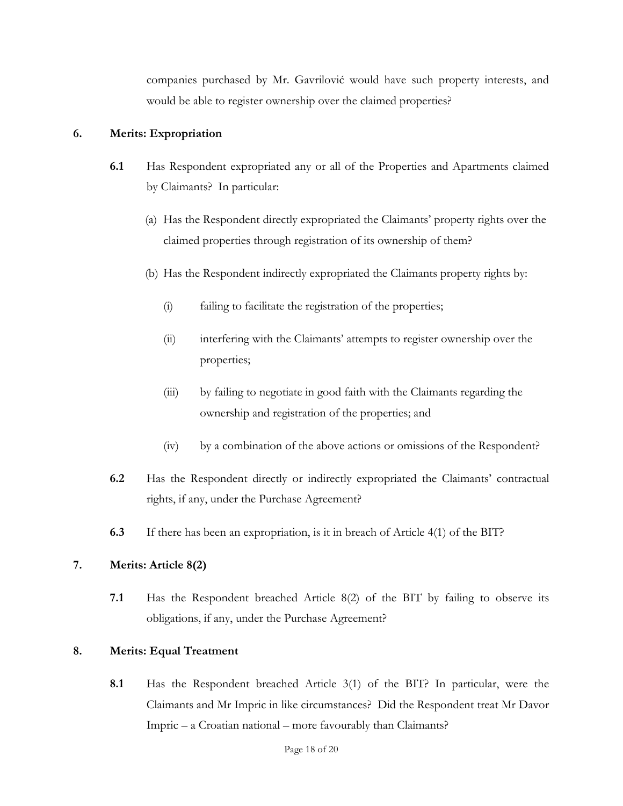companies purchased by Mr. Gavrilović would have such property interests, and would be able to register ownership over the claimed properties?

## **6. Merits: Expropriation**

- **6.1** Has Respondent expropriated any or all of the Properties and Apartments claimed by Claimants? In particular:
	- (a) Has the Respondent directly expropriated the Claimants' property rights over the claimed properties through registration of its ownership of them?
	- (b) Has the Respondent indirectly expropriated the Claimants property rights by:
		- (i) failing to facilitate the registration of the properties;
		- (ii) interfering with the Claimants' attempts to register ownership over the properties;
		- (iii) by failing to negotiate in good faith with the Claimants regarding the ownership and registration of the properties; and
		- (iv) by a combination of the above actions or omissions of the Respondent?
- **6.2** Has the Respondent directly or indirectly expropriated the Claimants' contractual rights, if any, under the Purchase Agreement?
- **6.3** If there has been an expropriation, is it in breach of Article 4(1) of the BIT?

## **7. Merits: Article 8(2)**

**7.1** Has the Respondent breached Article 8(2) of the BIT by failing to observe its obligations, if any, under the Purchase Agreement?

## **8. Merits: Equal Treatment**

**8.1** Has the Respondent breached Article 3(1) of the BIT? In particular, were the Claimants and Mr Impric in like circumstances? Did the Respondent treat Mr Davor Impric – a Croatian national – more favourably than Claimants?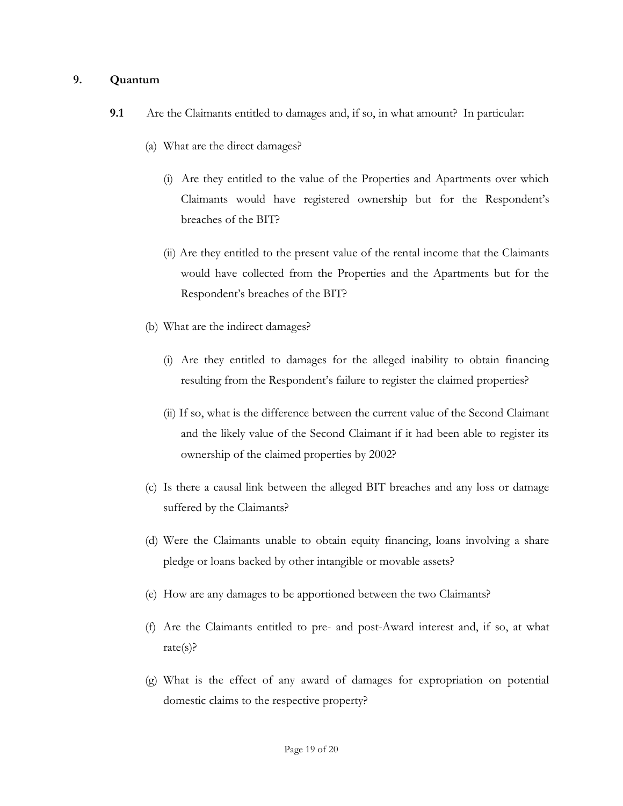#### **9. Quantum**

- **9.1** Are the Claimants entitled to damages and, if so, in what amount? In particular:
	- (a) What are the direct damages?
		- (i) Are they entitled to the value of the Properties and Apartments over which Claimants would have registered ownership but for the Respondent's breaches of the BIT?
		- (ii) Are they entitled to the present value of the rental income that the Claimants would have collected from the Properties and the Apartments but for the Respondent's breaches of the BIT?
	- (b) What are the indirect damages?
		- (i) Are they entitled to damages for the alleged inability to obtain financing resulting from the Respondent's failure to register the claimed properties?
		- (ii) If so, what is the difference between the current value of the Second Claimant and the likely value of the Second Claimant if it had been able to register its ownership of the claimed properties by 2002?
	- (c) Is there a causal link between the alleged BIT breaches and any loss or damage suffered by the Claimants?
	- (d) Were the Claimants unable to obtain equity financing, loans involving a share pledge or loans backed by other intangible or movable assets?
	- (e) How are any damages to be apportioned between the two Claimants?
	- (f) Are the Claimants entitled to pre- and post-Award interest and, if so, at what rate(s)?
	- (g) What is the effect of any award of damages for expropriation on potential domestic claims to the respective property?